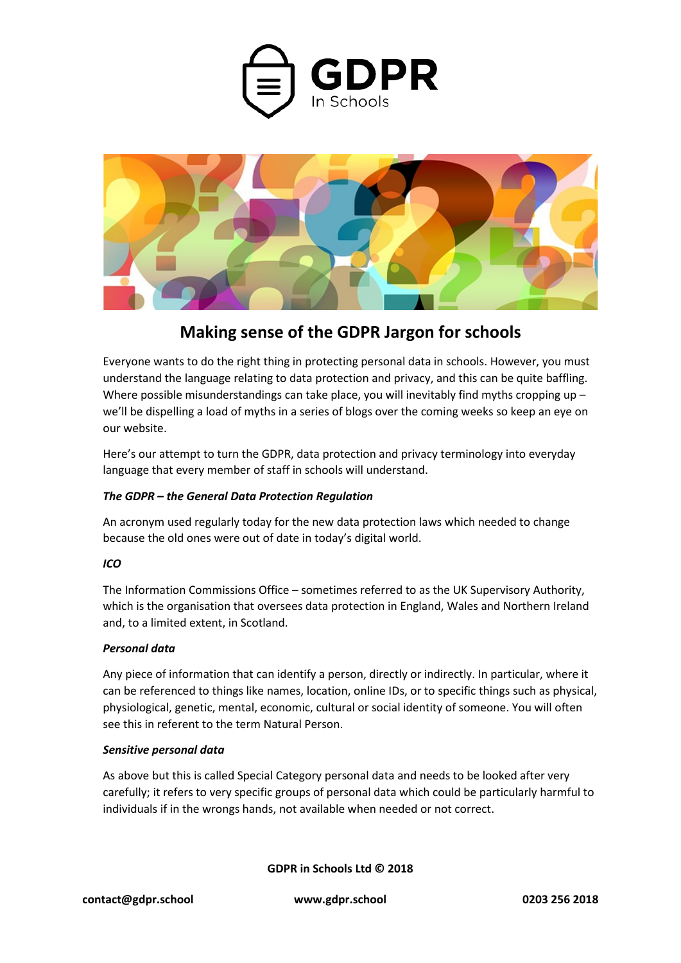



# **Making sense of the GDPR Jargon for schools**

Everyone wants to do the right thing in protecting personal data in schools. However, you must understand the language relating to data protection and privacy, and this can be quite baffling. Where possible misunderstandings can take place, you will inevitably find myths cropping up  $$ we'll be dispelling a load of myths in a series of blogs over the coming weeks so keep an eye on our website.

Here's our attempt to turn the GDPR, data protection and privacy terminology into everyday language that every member of staff in schools will understand.

# *The GDPR – the General Data Protection Regulation*

An acronym used regularly today for the new data protection laws which needed to change because the old ones were out of date in today's digital world.

# *ICO*

The Information Commissions Office – sometimes referred to as the UK Supervisory Authority, which is the organisation that oversees data protection in England, Wales and Northern Ireland and, to a limited extent, in Scotland.

### *Personal data*

Any piece of information that can identify a person, directly or indirectly. In particular, where it can be referenced to things like names, location, online IDs, or to specific things such as physical, physiological, genetic, mental, economic, cultural or social identity of someone. You will often see this in referent to the term Natural Person.

### *Sensitive personal data*

As above but this is called Special Category personal data and needs to be looked after very carefully; it refers to very specific groups of personal data which could be particularly harmful to individuals if in the wrongs hands, not available when needed or not correct.

**GDPR in Schools Ltd © 2018**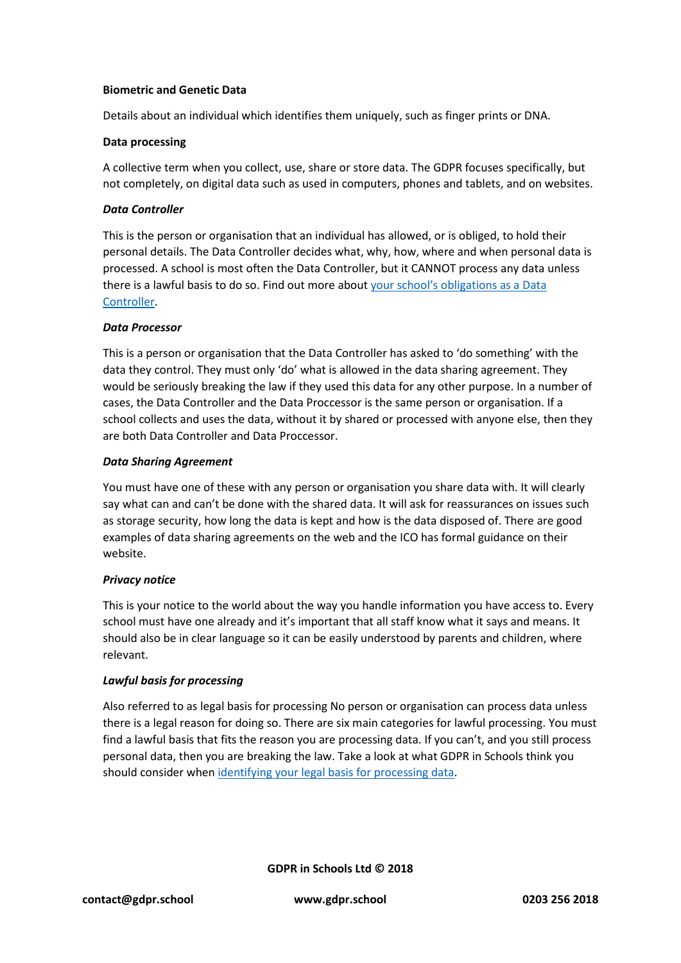#### **Biometric and Genetic Data**

Details about an individual which identifies them uniquely, such as finger prints or DNA.

### **Data processing**

A collective term when you collect, use, share or store data. The GDPR focuses specifically, but not completely, on digital data such as used in computers, phones and tablets, and on websites.

#### *Data Controller*

This is the person or organisation that an individual has allowed, or is obliged, to hold their personal details. The Data Controller decides what, why, how, where and when personal data is processed. A school is most often the Data Controller, but it CANNOT process any data unless there is a lawful basis to do so. Find out more about [your school's obligations as a Data](https://www.gdpr.school/schools-obligations-as-data-controller/)  [Controller.](https://www.gdpr.school/schools-obligations-as-data-controller/)

### *Data Processor*

This is a person or organisation that the Data Controller has asked to 'do something' with the data they control. They must only 'do' what is allowed in the data sharing agreement. They would be seriously breaking the law if they used this data for any other purpose. In a number of cases, the Data Controller and the Data Proccessor is the same person or organisation. If a school collects and uses the data, without it by shared or processed with anyone else, then they are both Data Controller and Data Proccessor.

#### *Data Sharing Agreement*

You must have one of these with any person or organisation you share data with. It will clearly say what can and can't be done with the shared data. It will ask for reassurances on issues such as storage security, how long the data is kept and how is the data disposed of. There are good examples of data sharing agreements on the web and the ICO has formal guidance on their website.

### *Privacy notice*

This is your notice to the world about the way you handle information you have access to. Every school must have one already and it's important that all staff know what it says and means. It should also be in clear language so it can be easily understood by parents and children, where relevant.

### *Lawful basis for processing*

Also referred to as legal basis for processing No person or organisation can process data unless there is a legal reason for doing so. There are six main categories for lawful processing. You must find a lawful basis that fits the reason you are processing data. If you can't, and you still process personal data, then you are breaking the law. Take a look at what GDPR in Schools think you should consider whe[n identifying your legal basis for processing data.](https://www.gdpr.school/how-concerned-should-schools-be-about-consent/)

**GDPR in Schools Ltd © 2018**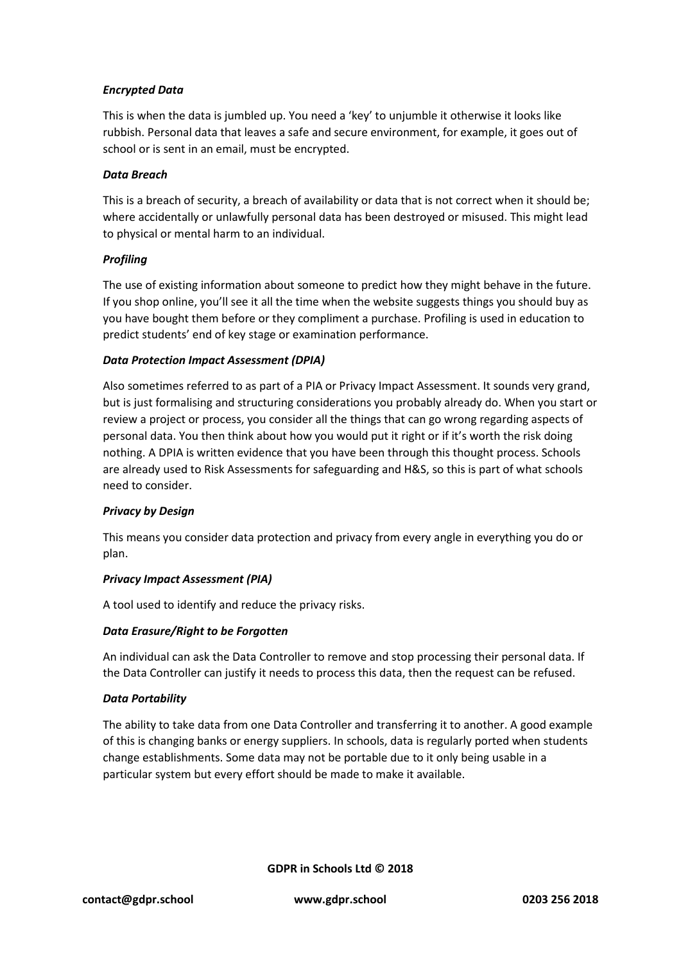# *Encrypted Data*

This is when the data is jumbled up. You need a 'key' to unjumble it otherwise it looks like rubbish. Personal data that leaves a safe and secure environment, for example, it goes out of school or is sent in an email, must be encrypted.

## *Data Breach*

This is a breach of security, a breach of availability or data that is not correct when it should be; where accidentally or unlawfully personal data has been destroyed or misused. This might lead to physical or mental harm to an individual.

# *Profiling*

The use of existing information about someone to predict how they might behave in the future. If you shop online, you'll see it all the time when the website suggests things you should buy as you have bought them before or they compliment a purchase. Profiling is used in education to predict students' end of key stage or examination performance.

# *Data Protection Impact Assessment (DPIA)*

Also sometimes referred to as part of a PIA or Privacy Impact Assessment. It sounds very grand, but is just formalising and structuring considerations you probably already do. When you start or review a project or process, you consider all the things that can go wrong regarding aspects of personal data. You then think about how you would put it right or if it's worth the risk doing nothing. A DPIA is written evidence that you have been through this thought process. Schools are already used to Risk Assessments for safeguarding and H&S, so this is part of what schools need to consider.

### *Privacy by Design*

This means you consider data protection and privacy from every angle in everything you do or plan.

### *Privacy Impact Assessment (PIA)*

A tool used to identify and reduce the privacy risks.

### *Data Erasure/Right to be Forgotten*

An individual can ask the Data Controller to remove and stop processing their personal data. If the Data Controller can justify it needs to process this data, then the request can be refused.

### *Data Portability*

The ability to take data from one Data Controller and transferring it to another. A good example of this is changing banks or energy suppliers. In schools, data is regularly ported when students change establishments. Some data may not be portable due to it only being usable in a particular system but every effort should be made to make it available.

**GDPR in Schools Ltd © 2018**